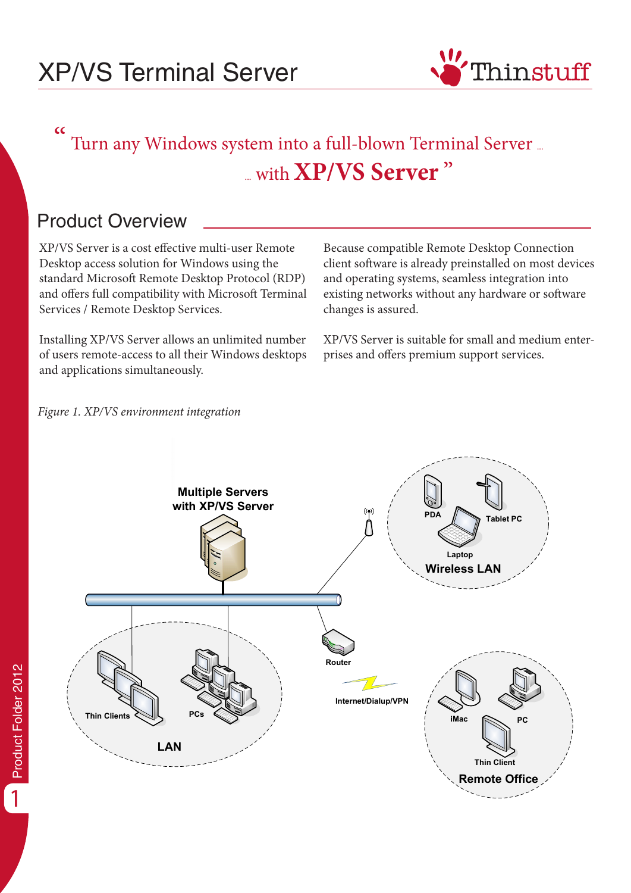

### $\epsilon$  Turn any Windows system into a full-blown Terminal Server ... ... with **XP/VS Server** "

## Product Overview

XP/VS Server is a cost effective multi-user Remote Desktop access solution for Windows using the standard Microsoft Remote Desktop Protocol (RDP) and offers full compatibility with Microsoft Terminal Services / Remote Desktop Services.

Installing XP/VS Server allows an unlimited number of users remote-access to all their Windows desktops and applications simultaneously.

Because compatible Remote Desktop Connection client software is already preinstalled on most devices and operating systems, seamless integration into existing networks without any hardware or software changes is assured.

XP/VS Server is suitable for small and medium enterprises and offers premium support services.



Product Folder 2012

Product Folder 2012

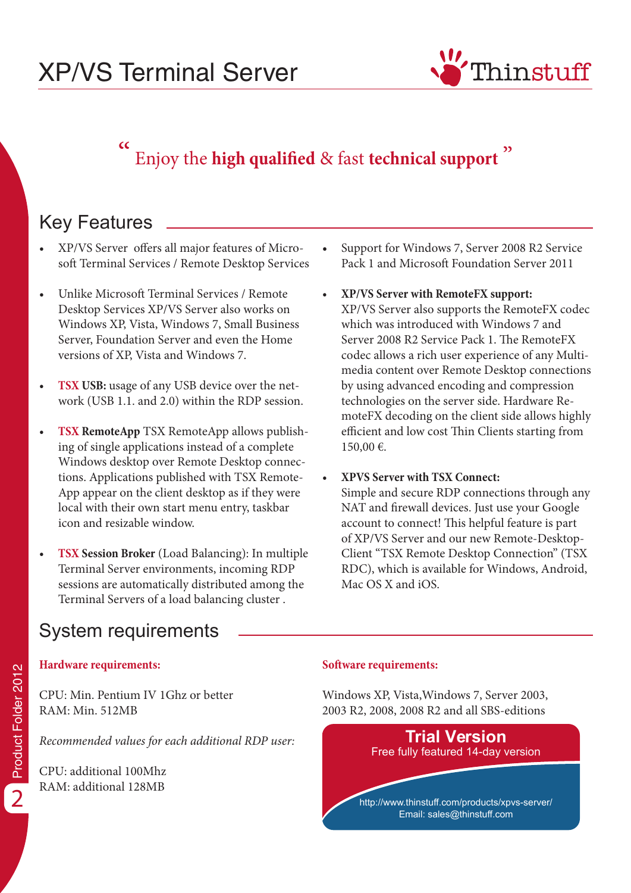## XP/VS Terminal Server



#### $\overline{\mathsf{C}}$ Enjoy the **high qualified** & fast **technical support** "

## Key Features

- XP/VS Server offers all major features of Microsoft Terminal Services / Remote Desktop Services
- Unlike Microsoft Terminal Services / Remote Desktop Services XP/VS Server also works on Windows XP, Vista, Windows 7, Small Business Server, Foundation Server and even the Home versions of XP, Vista and Windows 7.
- **TSX USB:** usage of any USB device over the network (USB 1.1. and 2.0) within the RDP session.
- **• TSX RemoteApp** TSX RemoteApp allows publishing of single applications instead of a complete Windows desktop over Remote Desktop connections. Applications published with TSX Remote-App appear on the client desktop as if they were local with their own start menu entry, taskbar icon and resizable window.
- **• TSX Session Broker** (Load Balancing): In multiple Terminal Server environments, incoming RDP sessions are automatically distributed among the Terminal Servers of a load balancing cluster .
- **•** Support for Windows 7, Server 2008 R2 Service Pack 1 and Microsoft Foundation Server 2011
- **• XP/VS Server with RemoteFX support:**  XP/VS Server also supports the RemoteFX codec which was introduced with Windows 7 and Server 2008 R2 Service Pack 1. The RemoteFX codec allows a rich user experience of any Multimedia content over Remote Desktop connections by using advanced encoding and compression technologies on the server side. Hardware RemoteFX decoding on the client side allows highly efficient and low cost Thin Clients starting from 150,00 €.
- **• XPVS Server with TSX Connect:**  Simple and secure RDP connections through any NAT and firewall devices. Just use your Google account to connect! This helpful feature is part of XP/VS Server and our new Remote-Desktop-Client "TSX Remote Desktop Connection" (TSX RDC), which is available for Windows, Android, Mac OS X and iOS.

## System requirements

#### **Hardware requirements:**

CPU: Min. Pentium IV 1Ghz or better RAM: Min. 512MB

*Recommended values for each additional RDP user:*

CPU: additional 100Mhz RAM: additional 128MB

#### **Software requirements:**

Windows XP, Vista,Windows 7, Server 2003, 2003 R2, 2008, 2008 R2 and all SBS-editions